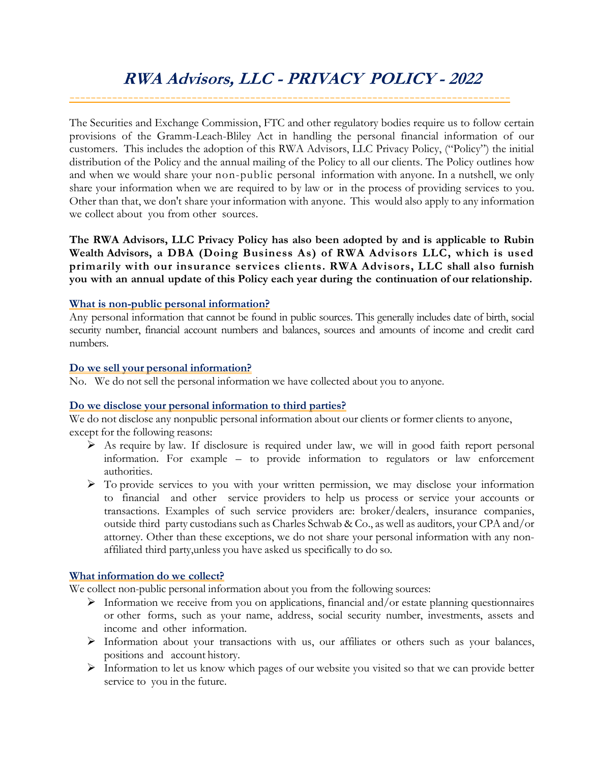# **RWA Advisors, LLC - PRIVACY POLICY - 2022** -----------------------------------------------------------------------------------

The Securities and Exchange Commission, FTC and other regulatory bodies require us to follow certain provisions of the Gramm-Leach-Bliley Act in handling the personal financial information of our customers. This includes the adoption of this RWA Advisors, LLC Privacy Policy, ("Policy") the initial distribution of the Policy and the annual mailing of the Policy to all our clients. The Policy outlines how and when we would share your non-public personal information with anyone. In a nutshell, we only share your information when we are required to by law or in the process of providing services to you. Other than that, we don't share your information with anyone. This would also apply to any information we collect about you from other sources.

**The RWA Advisors, LLC Privacy Policy has also been adopted by and is applicable to Rubin Wealth Advisors, a DBA (Doing Business As) of RWA Advisors LLC, which is used primarily with our insurance services clients. RWA Advisors, LLC shall also furnish you with an annual update of this Policy each year during the continuation of our relationship.**

## **What is non-public personal information?**

Any personal information that cannot be found in public sources. This generally includes date of birth, social security number, financial account numbers and balances, sources and amounts of income and credit card numbers.

## **Do we sell your personal information?**

No. We do not sell the personal information we have collected about you to anyone.

## **Do we disclose your personal information to third parties?**

We do not disclose any nonpublic personal information about our clients or former clients to anyone, except for the following reasons:

- ➢ As require by law. If disclosure is required under law, we will in good faith report personal information. For example – to provide information to regulators or law enforcement authorities.
- ➢ To provide services to you with your written permission, we may disclose your information to financial and other service providers to help us process or service your accounts or transactions. Examples of such service providers are: broker/dealers, insurance companies, outside third party custodians such as Charles Schwab & Co., as well as auditors, your CPA and/or attorney. Other than these exceptions, we do not share your personal information with any nonaffiliated third party,unless you have asked us specifically to do so.

## **What information do we collect?**

We collect non-public personal information about you from the following sources:

- $\triangleright$  Information we receive from you on applications, financial and/or estate planning questionnaires or other forms, such as your name, address, social security number, investments, assets and income and other information.
- ➢ Information about your transactions with us, our affiliates or others such as your balances, positions and account history.
- $\triangleright$  Information to let us know which pages of our website you visited so that we can provide better service to you in the future.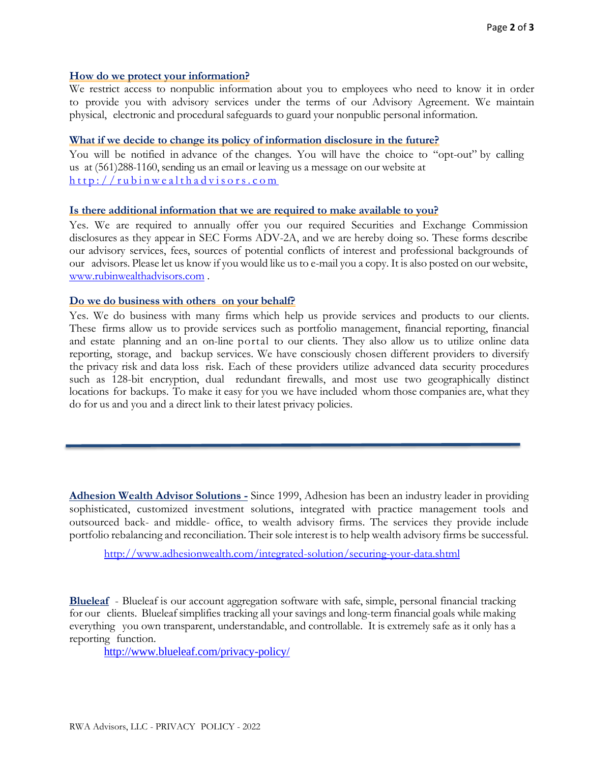#### **How do we protect your information?**

We restrict access to nonpublic information about you to employees who need to know it in order to provide you with advisory services under the terms of our Advisory Agreement. We maintain physical, electronic and procedural safeguards to guard your nonpublic personal information.

#### **What if we decide to change its policy of information disclosure in the future?**

You will be notified in advance of the changes. You will have the choice to "opt-out" by calling us at (561)288-1160, sending us an email or leaving us a message on our website at  $http://rubinwealthadvisors.com$ 

#### **Is there additional information that we are required to make available to you?**

Yes. We are required to annually offer you our required Securities and Exchange Commission disclosures as they appear in SEC Forms ADV-2A, and we are hereby doing so. These forms describe our advisory services, fees, sources of potential conflicts of interest and professional backgrounds of our advisors. Please let us know if you would like us to e-mail you a copy. It is also posted on our website, [www.rubinwealthadvisors.com](http://www.rubinwealthadvisors.com/) .

#### **Do we do business with others on your behalf?**

Yes. We do business with many firms which help us provide services and products to our clients. These firms allow us to provide services such as portfolio management, financial reporting, financial and estate planning and an on-line portal to our clients. They also allow us to utilize online data reporting, storage, and backup services. We have consciously chosen different providers to diversify the privacy risk and data loss risk. Each of these providers utilize advanced data security procedures such as 128-bit encryption, dual redundant firewalls, and most use two geographically distinct locations for backups. To make it easy for you we have included whom those companies are, what they do for us and you and a direct link to their latest privacy policies.

**Adhesion Wealth Advisor Solutions -** Since 1999, Adhesion has been an industry leader in providing sophisticated, customized investment solutions, integrated with practice management tools and outsourced back- and middle- office, to wealth advisory firms. The services they provide include portfolio rebalancing and reconciliation. Their sole interest is to help wealth advisory firms be successful.

http://www.adhesionwealth.com/integrated-solution/securing-your-data.shtml

**Blueleaf** - Blueleaf is our account aggregation software with safe, simple, personal financial tracking for our clients. Blueleaf simplifies tracking all your savings and long-term financial goals while making everything you own transparent, understandable, and controllable. It is extremely safe as it only has a reporting function.

<http://www.blueleaf.com/privacy-policy/>